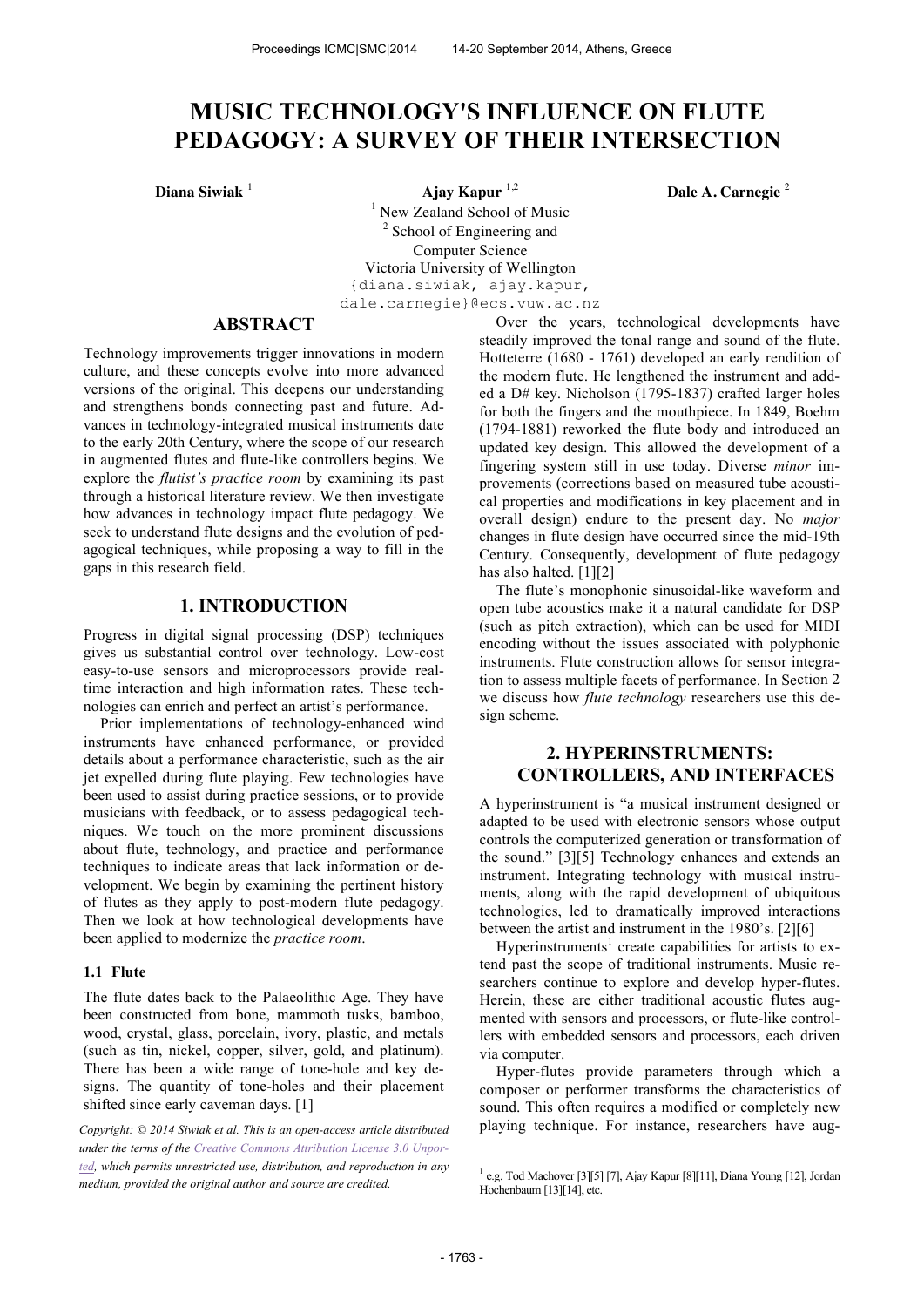# **MUSIC TECHNOLOGY'S INFLUENCE ON FLUTE PEDAGOGY: A SURVEY OF THEIR INTERSECTION**

**Diana Siwiak** <sup>1</sup> **Ajay Kapur** 1,2 **Dale A. Carnegie** <sup>2</sup> 

<sup>1</sup> New Zealand School of Music <sup>2</sup> School of Engineering and Computer Science Victoria University of Wellington {diana.siwiak, ajay.kapur, dale.carnegie}@ecs.vuw.ac.nz

## **ABSTRACT**

Technology improvements trigger innovations in modern culture, and these concepts evolve into more advanced versions of the original. This deepens our understanding and strengthens bonds connecting past and future. Advances in technology-integrated musical instruments date to the early 20th Century, where the scope of our research in augmented flutes and flute-like controllers begins. We explore the *flutist's practice room* by examining its past through a historical literature review. We then investigate how advances in technology impact flute pedagogy. We seek to understand flute designs and the evolution of pedagogical techniques, while proposing a way to fill in the gaps in this research field.

# **1. INTRODUCTION**

Progress in digital signal processing (DSP) techniques gives us substantial control over technology. Low-cost easy-to-use sensors and microprocessors provide realtime interaction and high information rates. These technologies can enrich and perfect an artist's performance.

Prior implementations of technology-enhanced wind instruments have enhanced performance, or provided details about a performance characteristic, such as the air jet expelled during flute playing. Few technologies have been used to assist during practice sessions, or to provide musicians with feedback, or to assess pedagogical techniques. We touch on the more prominent discussions about flute, technology, and practice and performance techniques to indicate areas that lack information or development. We begin by examining the pertinent history of flutes as they apply to post-modern flute pedagogy. Then we look at how technological developments have been applied to modernize the *practice room*.

#### **1.1 Flute**

The flute dates back to the Palaeolithic Age. They have been constructed from bone, mammoth tusks, bamboo, wood, crystal, glass, porcelain, ivory, plastic, and metals (such as tin, nickel, copper, silver, gold, and platinum). There has been a wide range of tone-hole and key designs. The quantity of tone-holes and their placement shifted since early caveman days. [1]

*Copyright: © 2014 Siwiak et al. This is an open-access article distributed under the terms of the Creative Commons Attribution License 3.0 Unported, which permits unrestricted use, distribution, and reproduction in any medium, provided the original author and source are credited.*

Over the years, technological developments have steadily improved the tonal range and sound of the flute. Hotteterre (1680 - 1761) developed an early rendition of the modern flute. He lengthened the instrument and added a D# key. Nicholson (1795-1837) crafted larger holes for both the fingers and the mouthpiece. In 1849, Boehm (1794-1881) reworked the flute body and introduced an updated key design. This allowed the development of a fingering system still in use today. Diverse *minor* improvements (corrections based on measured tube acoustical properties and modifications in key placement and in overall design) endure to the present day. No *major* changes in flute design have occurred since the mid-19th Century. Consequently, development of flute pedagogy has also halted. [1][2]

The flute's monophonic sinusoidal-like waveform and open tube acoustics make it a natural candidate for DSP (such as pitch extraction), which can be used for MIDI encoding without the issues associated with polyphonic instruments. Flute construction allows for sensor integration to assess multiple facets of performance. In Section 2 we discuss how *flute technology* researchers use this design scheme.

# **2. HYPERINSTRUMENTS: CONTROLLERS, AND INTERFACES**

A hyperinstrument is "a musical instrument designed or adapted to be used with electronic sensors whose output controls the computerized generation or transformation of the sound." [3][5] Technology enhances and extends an instrument. Integrating technology with musical instruments, along with the rapid development of ubiquitous technologies, led to dramatically improved interactions between the artist and instrument in the 1980's. [2][6]

Hyperinstruments<sup>1</sup> create capabilities for artists to extend past the scope of traditional instruments. Music researchers continue to explore and develop hyper-flutes. Herein, these are either traditional acoustic flutes augmented with sensors and processors, or flute-like controllers with embedded sensors and processors, each driven via computer.

Hyper-flutes provide parameters through which a composer or performer transforms the characteristics of sound. This often requires a modified or completely new playing technique. For instance, researchers have aug-

1

<sup>&</sup>lt;sup>1</sup> e.g. Tod Machover [3][5] [7], Ajay Kapur [8][11], Diana Young [12], Jordan Hochenbaum [13][14], etc.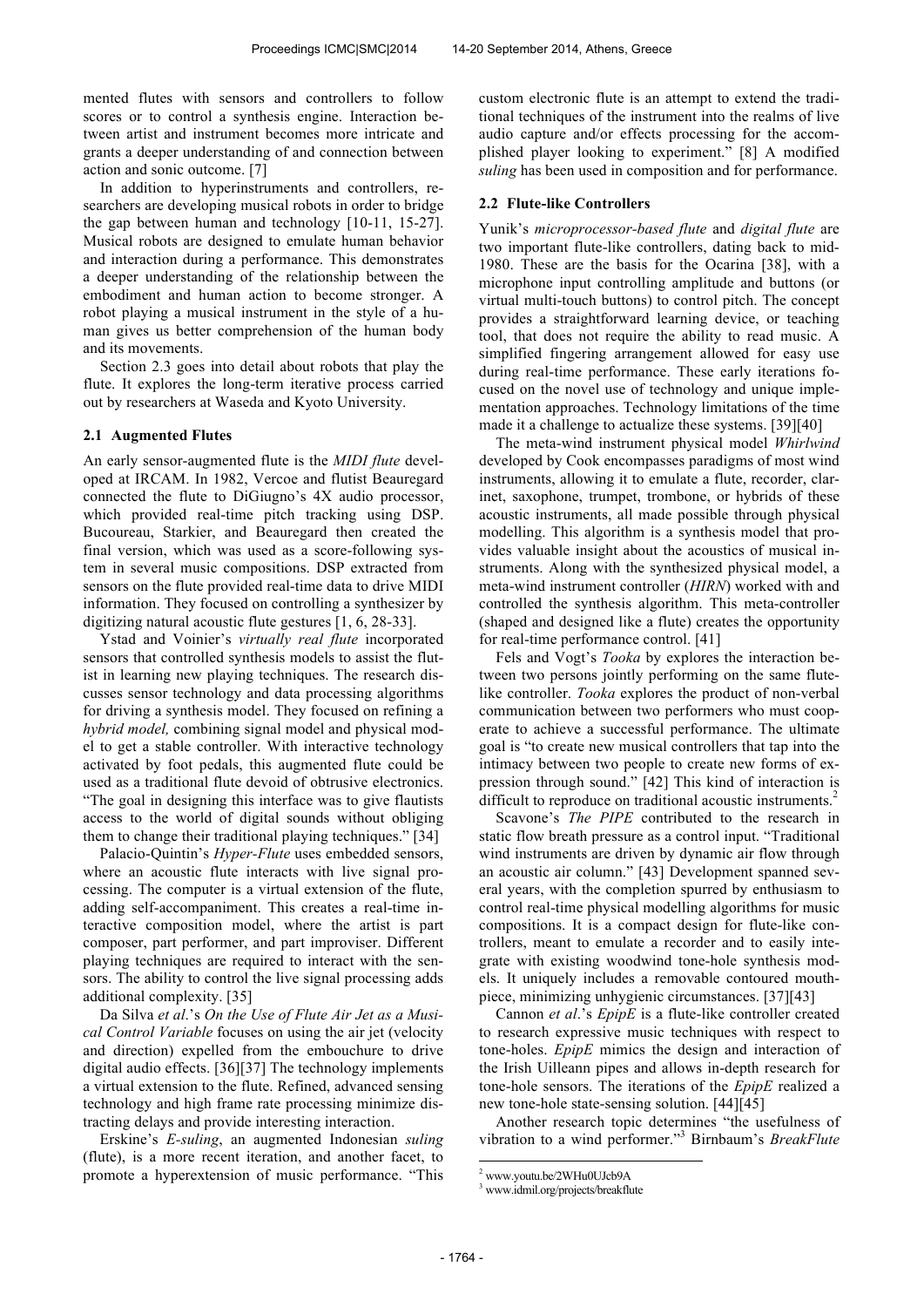mented flutes with sensors and controllers to follow scores or to control a synthesis engine. Interaction between artist and instrument becomes more intricate and grants a deeper understanding of and connection between action and sonic outcome. [7]

In addition to hyperinstruments and controllers, researchers are developing musical robots in order to bridge the gap between human and technology [10-11, 15-27]. Musical robots are designed to emulate human behavior and interaction during a performance. This demonstrates a deeper understanding of the relationship between the embodiment and human action to become stronger. A robot playing a musical instrument in the style of a human gives us better comprehension of the human body and its movements.

Section 2.3 goes into detail about robots that play the flute. It explores the long-term iterative process carried out by researchers at Waseda and Kyoto University.

#### **2.1 Augmented Flutes**

An early sensor-augmented flute is the *MIDI flute* developed at IRCAM. In 1982, Vercoe and flutist Beauregard connected the flute to DiGiugno's 4X audio processor, which provided real-time pitch tracking using DSP. Bucoureau, Starkier, and Beauregard then created the final version, which was used as a score-following system in several music compositions. DSP extracted from sensors on the flute provided real-time data to drive MIDI information. They focused on controlling a synthesizer by digitizing natural acoustic flute gestures [1, 6, 28-33].

Ystad and Voinier's *virtually real flute* incorporated sensors that controlled synthesis models to assist the flutist in learning new playing techniques. The research discusses sensor technology and data processing algorithms for driving a synthesis model. They focused on refining a *hybrid model,* combining signal model and physical model to get a stable controller. With interactive technology activated by foot pedals, this augmented flute could be used as a traditional flute devoid of obtrusive electronics. "The goal in designing this interface was to give flautists access to the world of digital sounds without obliging them to change their traditional playing techniques." [34]

Palacio-Quintin's *Hyper-Flute* uses embedded sensors, where an acoustic flute interacts with live signal processing. The computer is a virtual extension of the flute, adding self-accompaniment. This creates a real-time interactive composition model, where the artist is part composer, part performer, and part improviser. Different playing techniques are required to interact with the sensors. The ability to control the live signal processing adds additional complexity. [35]

Da Silva *et al*.'s *On the Use of Flute Air Jet as a Musical Control Variable* focuses on using the air jet (velocity and direction) expelled from the embouchure to drive digital audio effects. [36][37] The technology implements a virtual extension to the flute. Refined, advanced sensing technology and high frame rate processing minimize distracting delays and provide interesting interaction.

Erskine's *E-suling*, an augmented Indonesian *suling* (flute), is a more recent iteration, and another facet, to promote a hyperextension of music performance. "This

custom electronic flute is an attempt to extend the traditional techniques of the instrument into the realms of live audio capture and/or effects processing for the accomplished player looking to experiment." [8] A modified *suling* has been used in composition and for performance.

#### **2.2 Flute-like Controllers**

Yunik's *microprocessor-based flute* and *digital flute* are two important flute-like controllers, dating back to mid-1980. These are the basis for the Ocarina [38], with a microphone input controlling amplitude and buttons (or virtual multi-touch buttons) to control pitch. The concept provides a straightforward learning device, or teaching tool, that does not require the ability to read music. A simplified fingering arrangement allowed for easy use during real-time performance. These early iterations focused on the novel use of technology and unique implementation approaches. Technology limitations of the time made it a challenge to actualize these systems. [39][40]

The meta-wind instrument physical model *Whirlwind* developed by Cook encompasses paradigms of most wind instruments, allowing it to emulate a flute, recorder, clarinet, saxophone, trumpet, trombone, or hybrids of these acoustic instruments, all made possible through physical modelling. This algorithm is a synthesis model that provides valuable insight about the acoustics of musical instruments. Along with the synthesized physical model, a meta-wind instrument controller (*HIRN*) worked with and controlled the synthesis algorithm. This meta-controller (shaped and designed like a flute) creates the opportunity for real-time performance control. [41]

Fels and Vogt's *Tooka* by explores the interaction between two persons jointly performing on the same flutelike controller. *Tooka* explores the product of non-verbal communication between two performers who must cooperate to achieve a successful performance. The ultimate goal is "to create new musical controllers that tap into the intimacy between two people to create new forms of expression through sound." [42] This kind of interaction is difficult to reproduce on traditional acoustic instruments.<sup>2</sup>

Scavone's *The PIPE* contributed to the research in static flow breath pressure as a control input. "Traditional wind instruments are driven by dynamic air flow through an acoustic air column." [43] Development spanned several years, with the completion spurred by enthusiasm to control real-time physical modelling algorithms for music compositions. It is a compact design for flute-like controllers, meant to emulate a recorder and to easily integrate with existing woodwind tone-hole synthesis models. It uniquely includes a removable contoured mouthpiece, minimizing unhygienic circumstances. [37][43]

Cannon *et al*.'s *EpipE* is a flute-like controller created to research expressive music techniques with respect to tone-holes. *EpipE* mimics the design and interaction of the Irish Uilleann pipes and allows in-depth research for tone-hole sensors. The iterations of the *EpipE* realized a new tone-hole state-sensing solution. [44][45]

Another research topic determines "the usefulness of vibration to a wind performer."<sup>3</sup> Birnbaum's *BreakFlute*

-

<sup>2</sup> www.youtu.be/2WHu0UJcb9A

<sup>&</sup>lt;sup>3</sup> www.idmil.org/projects/breakflute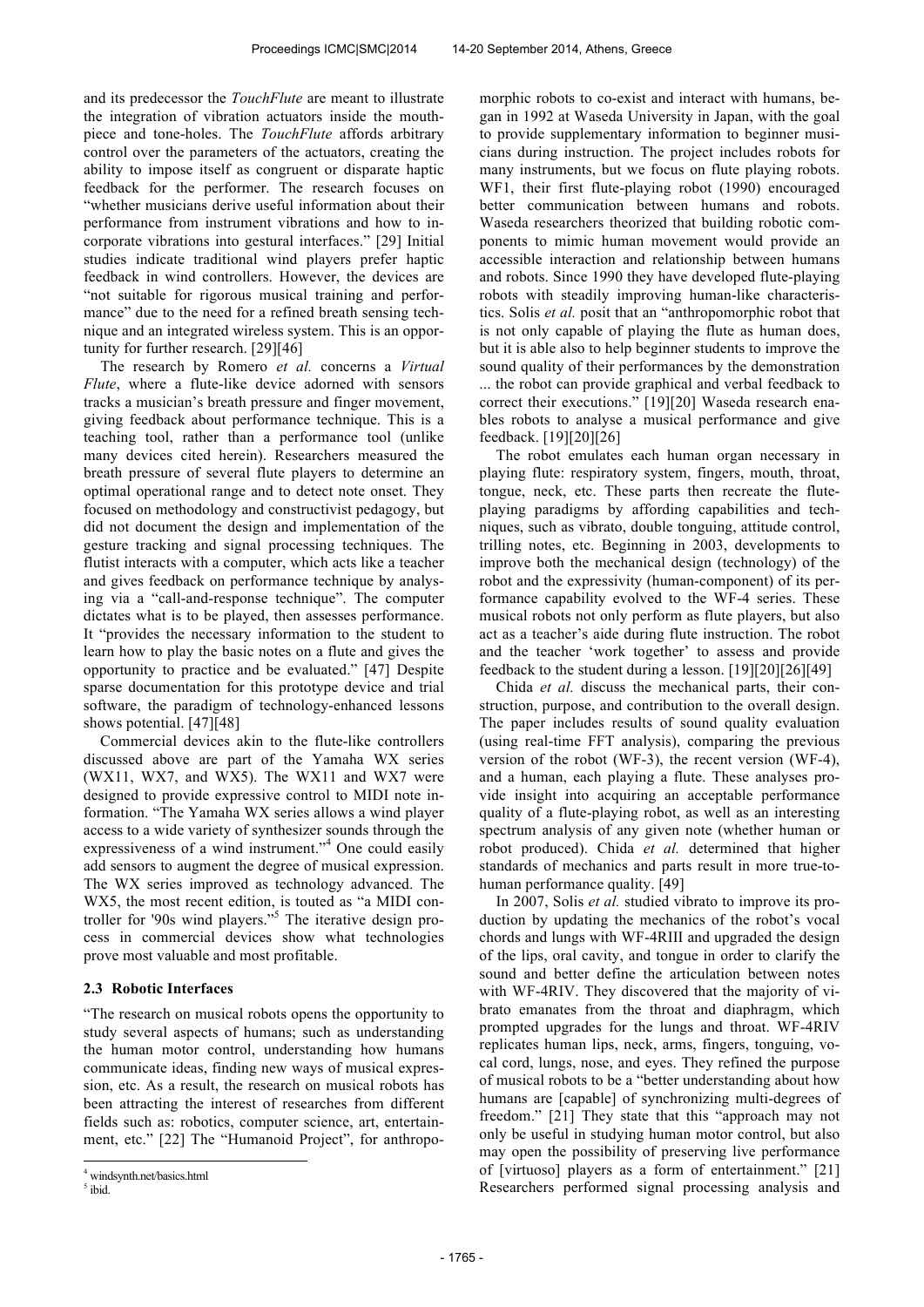and its predecessor the *TouchFlute* are meant to illustrate the integration of vibration actuators inside the mouthpiece and tone-holes. The *TouchFlute* affords arbitrary control over the parameters of the actuators, creating the ability to impose itself as congruent or disparate haptic feedback for the performer. The research focuses on "whether musicians derive useful information about their performance from instrument vibrations and how to incorporate vibrations into gestural interfaces." [29] Initial studies indicate traditional wind players prefer haptic feedback in wind controllers. However, the devices are "not suitable for rigorous musical training and performance" due to the need for a refined breath sensing technique and an integrated wireless system. This is an opportunity for further research. [29][46]

The research by Romero *et al.* concerns a *Virtual Flute*, where a flute-like device adorned with sensors tracks a musician's breath pressure and finger movement, giving feedback about performance technique. This is a teaching tool, rather than a performance tool (unlike many devices cited herein). Researchers measured the breath pressure of several flute players to determine an optimal operational range and to detect note onset. They focused on methodology and constructivist pedagogy, but did not document the design and implementation of the gesture tracking and signal processing techniques. The flutist interacts with a computer, which acts like a teacher and gives feedback on performance technique by analysing via a "call-and-response technique". The computer dictates what is to be played, then assesses performance. It "provides the necessary information to the student to learn how to play the basic notes on a flute and gives the opportunity to practice and be evaluated." [47] Despite sparse documentation for this prototype device and trial software, the paradigm of technology-enhanced lessons shows potential. [47][48]

Commercial devices akin to the flute-like controllers discussed above are part of the Yamaha WX series (WX11, WX7, and WX5). The WX11 and WX7 were designed to provide expressive control to MIDI note information. "The Yamaha WX series allows a wind player access to a wide variety of synthesizer sounds through the expressiveness of a wind instrument."<sup>4</sup> One could easily add sensors to augment the degree of musical expression. The WX series improved as technology advanced. The WX5, the most recent edition, is touted as "a MIDI controller for '90s wind players."<sup>5</sup> The iterative design process in commercial devices show what technologies prove most valuable and most profitable.

#### **2.3 Robotic Interfaces**

"The research on musical robots opens the opportunity to study several aspects of humans; such as understanding the human motor control, understanding how humans communicate ideas, finding new ways of musical expression, etc. As a result, the research on musical robots has been attracting the interest of researches from different fields such as: robotics, computer science, art, entertainment, etc." [22] The "Humanoid Project", for anthropo-

j

morphic robots to co-exist and interact with humans, began in 1992 at Waseda University in Japan, with the goal to provide supplementary information to beginner musicians during instruction. The project includes robots for many instruments, but we focus on flute playing robots. WF1, their first flute-playing robot (1990) encouraged better communication between humans and robots. Waseda researchers theorized that building robotic components to mimic human movement would provide an accessible interaction and relationship between humans and robots. Since 1990 they have developed flute-playing robots with steadily improving human-like characteristics. Solis *et al.* posit that an "anthropomorphic robot that is not only capable of playing the flute as human does, but it is able also to help beginner students to improve the sound quality of their performances by the demonstration ... the robot can provide graphical and verbal feedback to correct their executions." [19][20] Waseda research enables robots to analyse a musical performance and give feedback. [19][20][26]

The robot emulates each human organ necessary in playing flute: respiratory system, fingers, mouth, throat, tongue, neck, etc. These parts then recreate the fluteplaying paradigms by affording capabilities and techniques, such as vibrato, double tonguing, attitude control, trilling notes, etc. Beginning in 2003, developments to improve both the mechanical design (technology) of the robot and the expressivity (human-component) of its performance capability evolved to the WF-4 series. These musical robots not only perform as flute players, but also act as a teacher's aide during flute instruction. The robot and the teacher 'work together' to assess and provide feedback to the student during a lesson. [19][20][26][49]

Chida *et al.* discuss the mechanical parts, their construction, purpose, and contribution to the overall design. The paper includes results of sound quality evaluation (using real-time FFT analysis), comparing the previous version of the robot (WF-3), the recent version (WF-4), and a human, each playing a flute. These analyses provide insight into acquiring an acceptable performance quality of a flute-playing robot, as well as an interesting spectrum analysis of any given note (whether human or robot produced). Chida *et al.* determined that higher standards of mechanics and parts result in more true-tohuman performance quality. [49]

In 2007, Solis *et al.* studied vibrato to improve its production by updating the mechanics of the robot's vocal chords and lungs with WF-4RIII and upgraded the design of the lips, oral cavity, and tongue in order to clarify the sound and better define the articulation between notes with WF-4RIV. They discovered that the majority of vibrato emanates from the throat and diaphragm, which prompted upgrades for the lungs and throat. WF-4RIV replicates human lips, neck, arms, fingers, tonguing, vocal cord, lungs, nose, and eyes. They refined the purpose of musical robots to be a "better understanding about how humans are [capable] of synchronizing multi-degrees of freedom." [21] They state that this "approach may not only be useful in studying human motor control, but also may open the possibility of preserving live performance of [virtuoso] players as a form of entertainment." [21] Researchers performed signal processing analysis and

windsynth.net/basics.html

<sup>5</sup> ibid.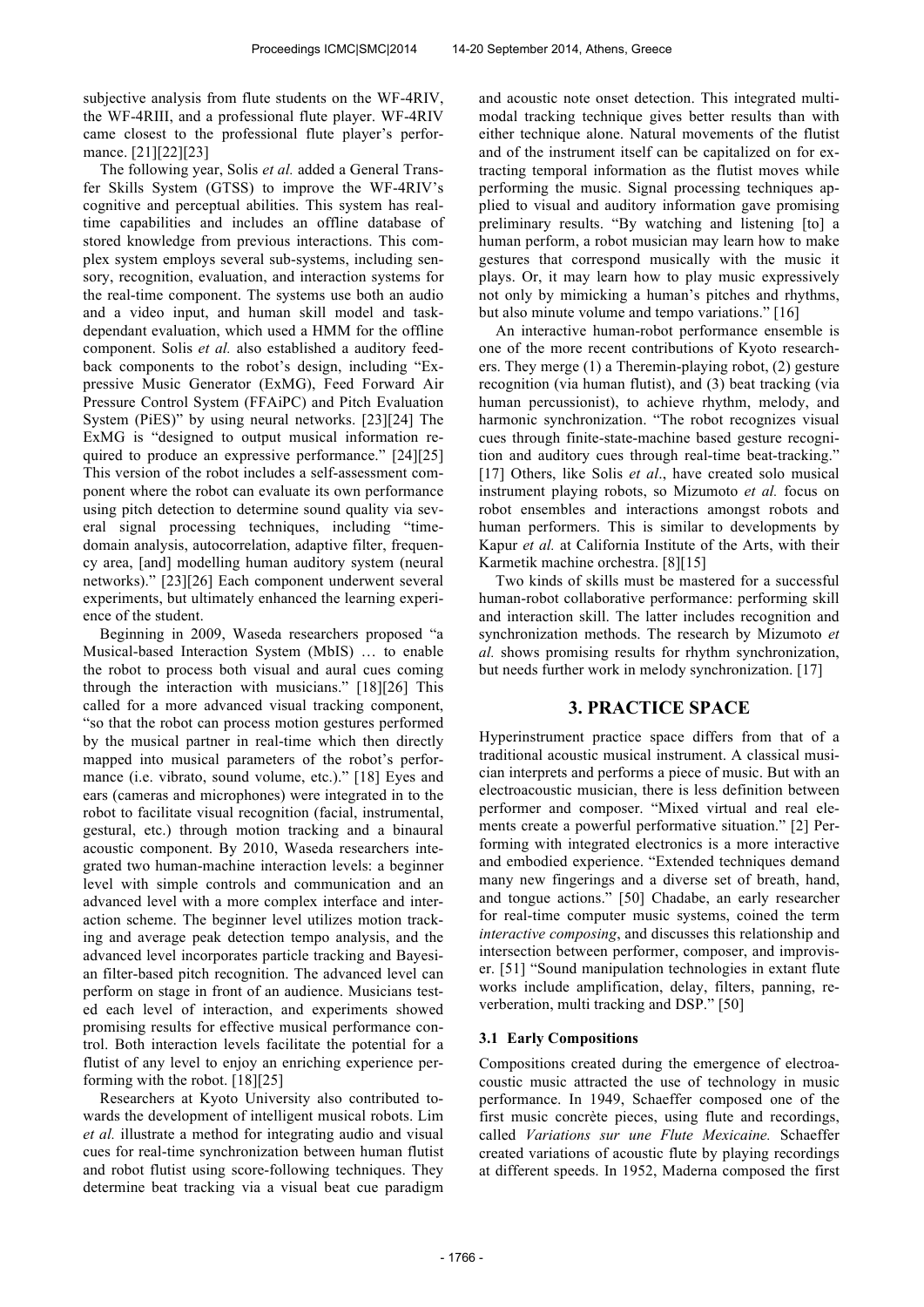subjective analysis from flute students on the WF-4RIV, the WF-4RIII, and a professional flute player. WF-4RIV came closest to the professional flute player's performance. [21][22][23]

The following year, Solis *et al.* added a General Transfer Skills System (GTSS) to improve the WF-4RIV's cognitive and perceptual abilities. This system has realtime capabilities and includes an offline database of stored knowledge from previous interactions. This complex system employs several sub-systems, including sensory, recognition, evaluation, and interaction systems for the real-time component. The systems use both an audio and a video input, and human skill model and taskdependant evaluation, which used a HMM for the offline component. Solis *et al.* also established a auditory feedback components to the robot's design, including "Expressive Music Generator (ExMG), Feed Forward Air Pressure Control System (FFAiPC) and Pitch Evaluation System (PiES)" by using neural networks. [23][24] The ExMG is "designed to output musical information required to produce an expressive performance." [24][25] This version of the robot includes a self-assessment component where the robot can evaluate its own performance using pitch detection to determine sound quality via several signal processing techniques, including "timedomain analysis, autocorrelation, adaptive filter, frequency area, [and] modelling human auditory system (neural networks)." [23][26] Each component underwent several experiments, but ultimately enhanced the learning experience of the student.

Beginning in 2009, Waseda researchers proposed "a Musical-based Interaction System (MbIS) … to enable the robot to process both visual and aural cues coming through the interaction with musicians." [18][26] This called for a more advanced visual tracking component, "so that the robot can process motion gestures performed by the musical partner in real-time which then directly mapped into musical parameters of the robot's performance (i.e. vibrato, sound volume, etc.)." [18] Eyes and ears (cameras and microphones) were integrated in to the robot to facilitate visual recognition (facial, instrumental, gestural, etc.) through motion tracking and a binaural acoustic component. By 2010, Waseda researchers integrated two human-machine interaction levels: a beginner level with simple controls and communication and an advanced level with a more complex interface and interaction scheme. The beginner level utilizes motion tracking and average peak detection tempo analysis, and the advanced level incorporates particle tracking and Bayesian filter-based pitch recognition. The advanced level can perform on stage in front of an audience. Musicians tested each level of interaction, and experiments showed promising results for effective musical performance control. Both interaction levels facilitate the potential for a flutist of any level to enjoy an enriching experience performing with the robot. [18][25]

Researchers at Kyoto University also contributed towards the development of intelligent musical robots. Lim *et al.* illustrate a method for integrating audio and visual cues for real-time synchronization between human flutist and robot flutist using score-following techniques. They determine beat tracking via a visual beat cue paradigm

and acoustic note onset detection. This integrated multimodal tracking technique gives better results than with either technique alone. Natural movements of the flutist and of the instrument itself can be capitalized on for extracting temporal information as the flutist moves while performing the music. Signal processing techniques applied to visual and auditory information gave promising preliminary results. "By watching and listening [to] a human perform, a robot musician may learn how to make gestures that correspond musically with the music it plays. Or, it may learn how to play music expressively not only by mimicking a human's pitches and rhythms, but also minute volume and tempo variations." [16]

An interactive human-robot performance ensemble is one of the more recent contributions of Kyoto researchers. They merge (1) a Theremin-playing robot, (2) gesture recognition (via human flutist), and (3) beat tracking (via human percussionist), to achieve rhythm, melody, and harmonic synchronization. "The robot recognizes visual cues through finite-state-machine based gesture recognition and auditory cues through real-time beat-tracking." [17] Others, like Solis *et al.*, have created solo musical instrument playing robots, so Mizumoto *et al.* focus on robot ensembles and interactions amongst robots and human performers. This is similar to developments by Kapur *et al.* at California Institute of the Arts, with their Karmetik machine orchestra. [8][15]

Two kinds of skills must be mastered for a successful human-robot collaborative performance: performing skill and interaction skill. The latter includes recognition and synchronization methods. The research by Mizumoto *et al.* shows promising results for rhythm synchronization, but needs further work in melody synchronization. [17]

# **3. PRACTICE SPACE**

Hyperinstrument practice space differs from that of a traditional acoustic musical instrument. A classical musician interprets and performs a piece of music. But with an electroacoustic musician, there is less definition between performer and composer. "Mixed virtual and real elements create a powerful performative situation." [2] Performing with integrated electronics is a more interactive and embodied experience. "Extended techniques demand many new fingerings and a diverse set of breath, hand, and tongue actions." [50] Chadabe, an early researcher for real-time computer music systems, coined the term *interactive composing*, and discusses this relationship and intersection between performer, composer, and improviser. [51] "Sound manipulation technologies in extant flute works include amplification, delay, filters, panning, reverberation, multi tracking and DSP." [50]

## **3.1 Early Compositions**

Compositions created during the emergence of electroacoustic music attracted the use of technology in music performance. In 1949, Schaeffer composed one of the first music concrète pieces, using flute and recordings, called *Variations sur une Flute Mexicaine.* Schaeffer created variations of acoustic flute by playing recordings at different speeds. In 1952, Maderna composed the first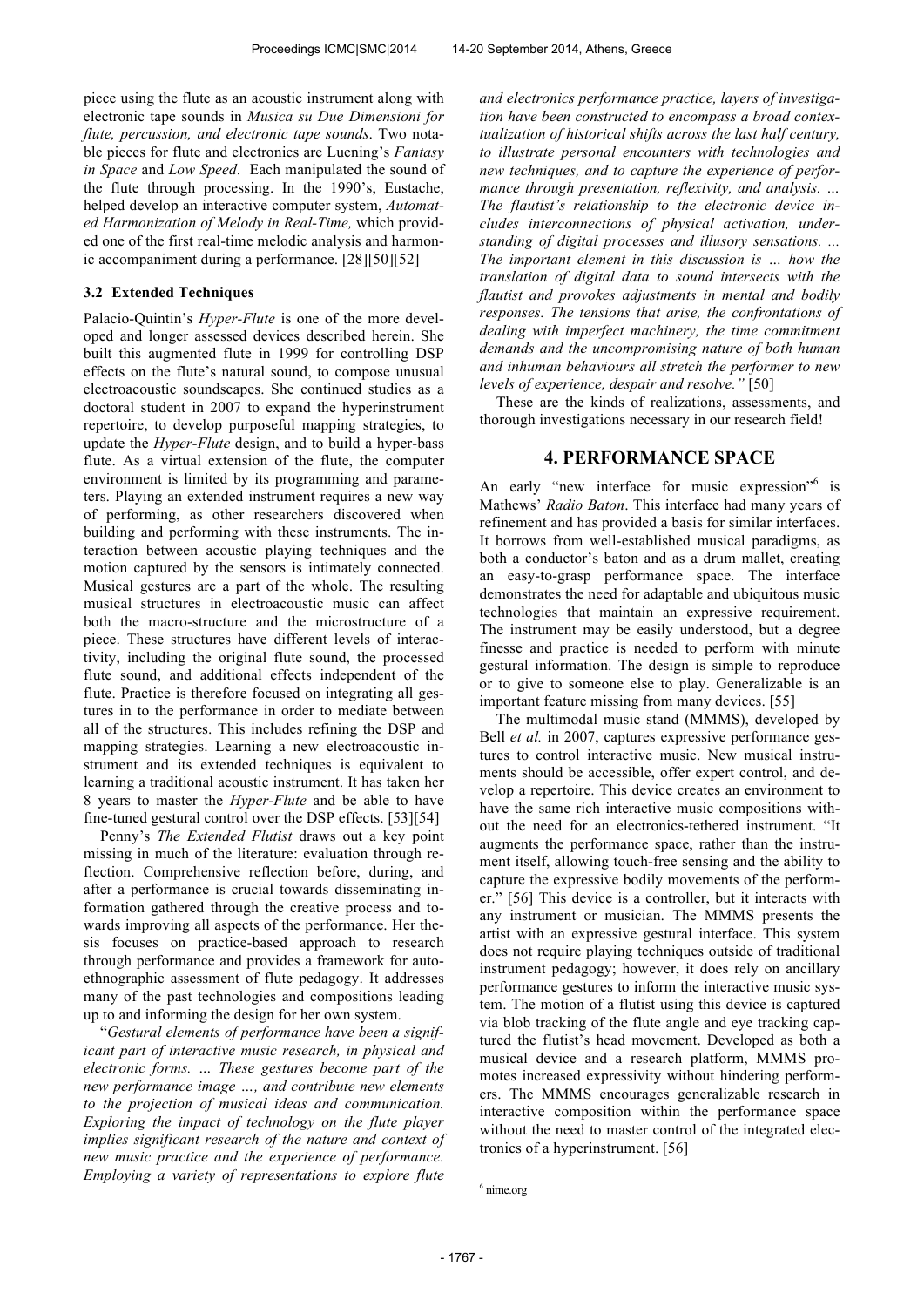piece using the flute as an acoustic instrument along with electronic tape sounds in *Musica su Due Dimensioni for flute, percussion, and electronic tape sounds*. Two notable pieces for flute and electronics are Luening's *Fantasy in Space* and *Low Speed*. Each manipulated the sound of the flute through processing. In the 1990's, Eustache, helped develop an interactive computer system, *Automated Harmonization of Melody in Real-Time,* which provided one of the first real-time melodic analysis and harmonic accompaniment during a performance. [28][50][52]

#### **3.2 Extended Techniques**

Palacio-Quintin's *Hyper-Flute* is one of the more developed and longer assessed devices described herein. She built this augmented flute in 1999 for controlling DSP effects on the flute's natural sound, to compose unusual electroacoustic soundscapes. She continued studies as a doctoral student in 2007 to expand the hyperinstrument repertoire, to develop purposeful mapping strategies, to update the *Hyper-Flute* design, and to build a hyper-bass flute. As a virtual extension of the flute, the computer environment is limited by its programming and parameters. Playing an extended instrument requires a new way of performing, as other researchers discovered when building and performing with these instruments. The interaction between acoustic playing techniques and the motion captured by the sensors is intimately connected. Musical gestures are a part of the whole. The resulting musical structures in electroacoustic music can affect both the macro-structure and the microstructure of a piece. These structures have different levels of interactivity, including the original flute sound, the processed flute sound, and additional effects independent of the flute. Practice is therefore focused on integrating all gestures in to the performance in order to mediate between all of the structures. This includes refining the DSP and mapping strategies. Learning a new electroacoustic instrument and its extended techniques is equivalent to learning a traditional acoustic instrument. It has taken her 8 years to master the *Hyper-Flute* and be able to have fine-tuned gestural control over the DSP effects. [53][54]

Penny's *The Extended Flutist* draws out a key point missing in much of the literature: evaluation through reflection. Comprehensive reflection before, during, and after a performance is crucial towards disseminating information gathered through the creative process and towards improving all aspects of the performance. Her thesis focuses on practice-based approach to research through performance and provides a framework for autoethnographic assessment of flute pedagogy. It addresses many of the past technologies and compositions leading up to and informing the design for her own system.

"*Gestural elements of performance have been a significant part of interactive music research, in physical and electronic forms. … These gestures become part of the new performance image …, and contribute new elements to the projection of musical ideas and communication. Exploring the impact of technology on the flute player implies significant research of the nature and context of new music practice and the experience of performance. Employing a variety of representations to explore flute* 

*and electronics performance practice, layers of investigation have been constructed to encompass a broad contextualization of historical shifts across the last half century, to illustrate personal encounters with technologies and new techniques, and to capture the experience of performance through presentation, reflexivity, and analysis. … The flautist's relationship to the electronic device includes interconnections of physical activation, understanding of digital processes and illusory sensations. ... The important element in this discussion is … how the translation of digital data to sound intersects with the flautist and provokes adjustments in mental and bodily responses. The tensions that arise, the confrontations of dealing with imperfect machinery, the time commitment demands and the uncompromising nature of both human and inhuman behaviours all stretch the performer to new levels of experience, despair and resolve."* [50]

These are the kinds of realizations, assessments, and thorough investigations necessary in our research field!

## **4. PERFORMANCE SPACE**

An early "new interface for music expression"<sup>6</sup> is Mathews' *Radio Baton*. This interface had many years of refinement and has provided a basis for similar interfaces. It borrows from well-established musical paradigms, as both a conductor's baton and as a drum mallet, creating an easy-to-grasp performance space. The interface demonstrates the need for adaptable and ubiquitous music technologies that maintain an expressive requirement. The instrument may be easily understood, but a degree finesse and practice is needed to perform with minute gestural information. The design is simple to reproduce or to give to someone else to play. Generalizable is an important feature missing from many devices. [55]

The multimodal music stand (MMMS), developed by Bell *et al.* in 2007, captures expressive performance gestures to control interactive music. New musical instruments should be accessible, offer expert control, and develop a repertoire. This device creates an environment to have the same rich interactive music compositions without the need for an electronics-tethered instrument. "It augments the performance space, rather than the instrument itself, allowing touch-free sensing and the ability to capture the expressive bodily movements of the performer." [56] This device is a controller, but it interacts with any instrument or musician. The MMMS presents the artist with an expressive gestural interface. This system does not require playing techniques outside of traditional instrument pedagogy; however, it does rely on ancillary performance gestures to inform the interactive music system. The motion of a flutist using this device is captured via blob tracking of the flute angle and eye tracking captured the flutist's head movement. Developed as both a musical device and a research platform, MMMS promotes increased expressivity without hindering performers. The MMMS encourages generalizable research in interactive composition within the performance space without the need to master control of the integrated electronics of a hyperinstrument. [56]

<u>.</u>

<sup>6</sup> nime.org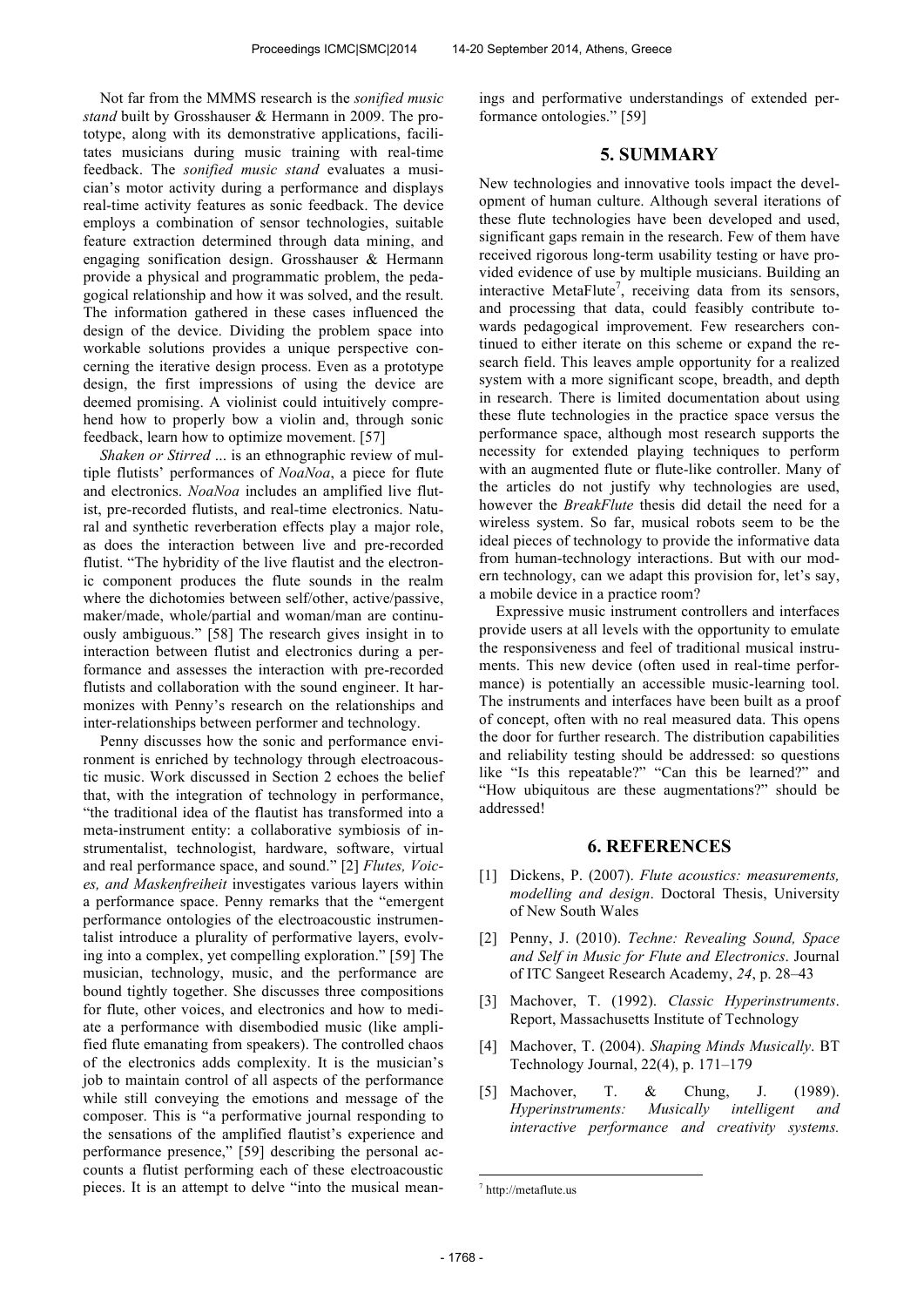Not far from the MMMS research is the *sonified music stand* built by Grosshauser & Hermann in 2009. The prototype, along with its demonstrative applications, facilitates musicians during music training with real-time feedback. The *sonified music stand* evaluates a musician's motor activity during a performance and displays real-time activity features as sonic feedback. The device employs a combination of sensor technologies, suitable feature extraction determined through data mining, and engaging sonification design. Grosshauser & Hermann provide a physical and programmatic problem, the pedagogical relationship and how it was solved, and the result. The information gathered in these cases influenced the design of the device. Dividing the problem space into workable solutions provides a unique perspective concerning the iterative design process. Even as a prototype design, the first impressions of using the device are deemed promising. A violinist could intuitively comprehend how to properly bow a violin and, through sonic feedback, learn how to optimize movement. [57]

*Shaken or Stirred* ... is an ethnographic review of multiple flutists' performances of *NoaNoa*, a piece for flute and electronics. *NoaNoa* includes an amplified live flutist, pre-recorded flutists, and real-time electronics. Natural and synthetic reverberation effects play a major role, as does the interaction between live and pre-recorded flutist. "The hybridity of the live flautist and the electronic component produces the flute sounds in the realm where the dichotomies between self/other, active/passive, maker/made, whole/partial and woman/man are continuously ambiguous." [58] The research gives insight in to interaction between flutist and electronics during a performance and assesses the interaction with pre-recorded flutists and collaboration with the sound engineer. It harmonizes with Penny's research on the relationships and inter-relationships between performer and technology.

Penny discusses how the sonic and performance environment is enriched by technology through electroacoustic music. Work discussed in Section 2 echoes the belief that, with the integration of technology in performance, "the traditional idea of the flautist has transformed into a meta-instrument entity: a collaborative symbiosis of instrumentalist, technologist, hardware, software, virtual and real performance space, and sound." [2] *Flutes, Voices, and Maskenfreiheit* investigates various layers within a performance space. Penny remarks that the "emergent performance ontologies of the electroacoustic instrumentalist introduce a plurality of performative layers, evolving into a complex, yet compelling exploration." [59] The musician, technology, music, and the performance are bound tightly together. She discusses three compositions for flute, other voices, and electronics and how to mediate a performance with disembodied music (like amplified flute emanating from speakers). The controlled chaos of the electronics adds complexity. It is the musician's job to maintain control of all aspects of the performance while still conveying the emotions and message of the composer. This is "a performative journal responding to the sensations of the amplified flautist's experience and performance presence," [59] describing the personal accounts a flutist performing each of these electroacoustic pieces. It is an attempt to delve "into the musical meanings and performative understandings of extended performance ontologies." [59]

# **5. SUMMARY**

New technologies and innovative tools impact the development of human culture. Although several iterations of these flute technologies have been developed and used, significant gaps remain in the research. Few of them have received rigorous long-term usability testing or have provided evidence of use by multiple musicians. Building an interactive MetaFlute<sup>7</sup>, receiving data from its sensors, and processing that data, could feasibly contribute towards pedagogical improvement. Few researchers continued to either iterate on this scheme or expand the research field. This leaves ample opportunity for a realized system with a more significant scope, breadth, and depth in research. There is limited documentation about using these flute technologies in the practice space versus the performance space, although most research supports the necessity for extended playing techniques to perform with an augmented flute or flute-like controller. Many of the articles do not justify why technologies are used, however the *BreakFlute* thesis did detail the need for a wireless system. So far, musical robots seem to be the ideal pieces of technology to provide the informative data from human-technology interactions. But with our modern technology, can we adapt this provision for, let's say, a mobile device in a practice room?

Expressive music instrument controllers and interfaces provide users at all levels with the opportunity to emulate the responsiveness and feel of traditional musical instruments. This new device (often used in real-time performance) is potentially an accessible music-learning tool. The instruments and interfaces have been built as a proof of concept, often with no real measured data. This opens the door for further research. The distribution capabilities and reliability testing should be addressed: so questions like "Is this repeatable?" "Can this be learned?" and "How ubiquitous are these augmentations?" should be addressed!

## **6. REFERENCES**

- [1] Dickens, P. (2007). *Flute acoustics: measurements, modelling and design*. Doctoral Thesis, University of New South Wales
- [2] Penny, J. (2010). *Techne: Revealing Sound, Space and Self in Music for Flute and Electronics*. Journal of ITC Sangeet Research Academy, *24*, p. 28–43
- [3] Machover, T. (1992). *Classic Hyperinstruments*. Report, Massachusetts Institute of Technology
- [4] Machover, T. (2004). *Shaping Minds Musically*. BT Technology Journal, 22(4), p. 171–179
- [5] Machover, T. & Chung, J. (1989). *Hyperinstruments: Musically intelligent and interactive performance and creativity systems.*

-

<sup>7</sup> http://metaflute.us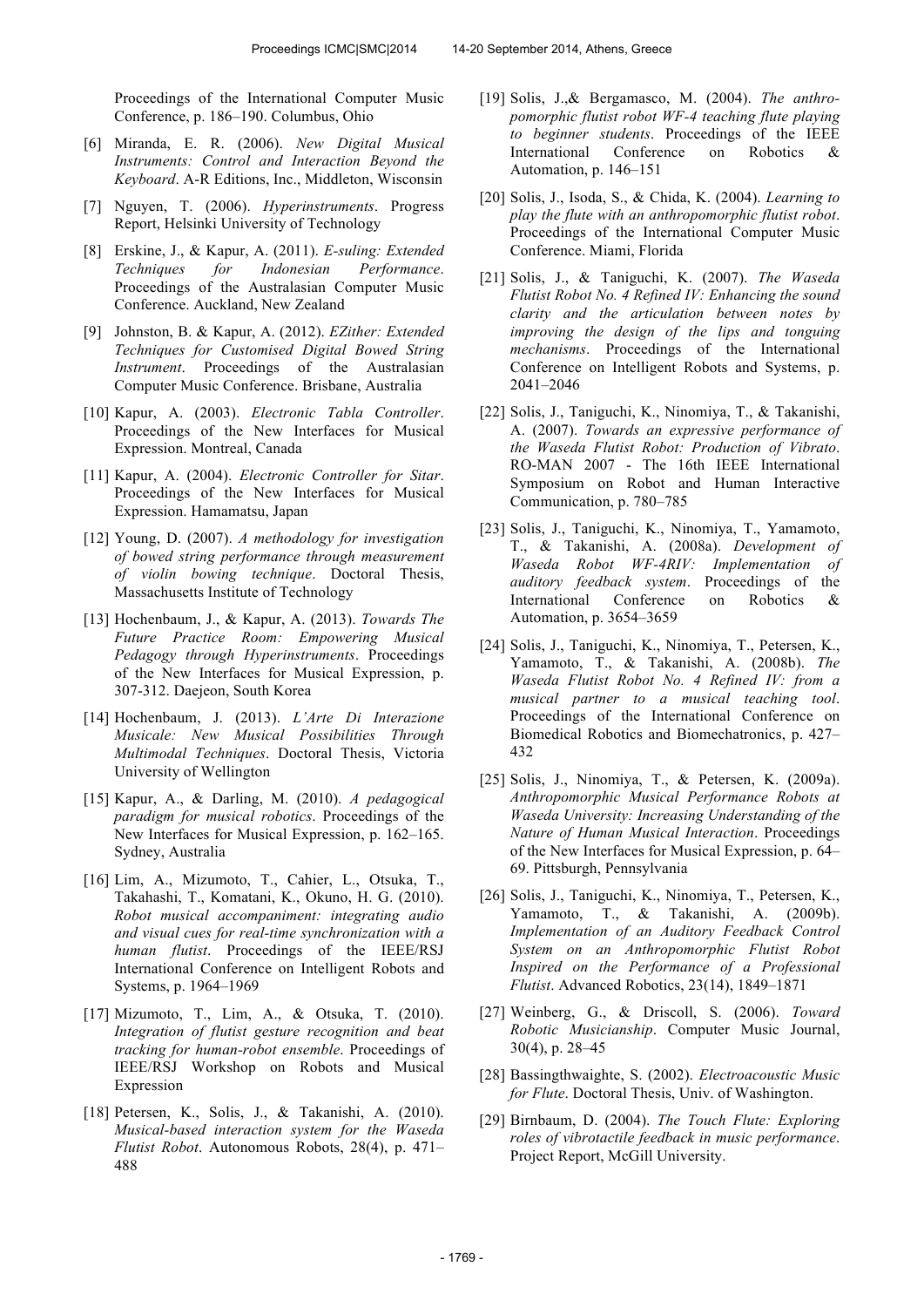Proceedings of the International Computer Music Conference, p. 186–190. Columbus, Ohio

- [6] Miranda, E. R. (2006). *New Digital Musical Instruments: Control and Interaction Beyond the Keyboard*. A-R Editions, Inc., Middleton, Wisconsin
- [7] Nguyen, T. (2006). *Hyperinstruments*. Progress Report, Helsinki University of Technology
- [8] Erskine, J., & Kapur, A. (2011). *E-suling: Extended Techniques for Indonesian Performance*. Proceedings of the Australasian Computer Music Conference. Auckland, New Zealand
- [9] Johnston, B. & Kapur, A. (2012). *EZither: Extended Techniques for Customised Digital Bowed String Instrument*. Proceedings of the Australasian Computer Music Conference. Brisbane, Australia
- [10] Kapur, A. (2003). *Electronic Tabla Controller*. Proceedings of the New Interfaces for Musical Expression. Montreal, Canada
- [11] Kapur, A. (2004). *Electronic Controller for Sitar*. Proceedings of the New Interfaces for Musical Expression. Hamamatsu, Japan
- [12] Young, D. (2007). *A methodology for investigation of bowed string performance through measurement of violin bowing technique*. Doctoral Thesis, Massachusetts Institute of Technology
- [13] Hochenbaum, J., & Kapur, A. (2013). *Towards The Future Practice Room: Empowering Musical Pedagogy through Hyperinstruments*. Proceedings of the New Interfaces for Musical Expression, p. 307-312. Daejeon, South Korea
- [14] Hochenbaum, J. (2013). *L'Arte Di Interazione Musicale: New Musical Possibilities Through Multimodal Techniques*. Doctoral Thesis, Victoria University of Wellington
- [15] Kapur, A., & Darling, M. (2010). *A pedagogical paradigm for musical robotics*. Proceedings of the New Interfaces for Musical Expression, p. 162–165. Sydney, Australia
- [16] Lim, A., Mizumoto, T., Cahier, L., Otsuka, T., Takahashi, T., Komatani, K., Okuno, H. G. (2010). *Robot musical accompaniment: integrating audio and visual cues for real-time synchronization with a human flutist*. Proceedings of the IEEE/RSJ International Conference on Intelligent Robots and Systems, p. 1964–1969
- [17] Mizumoto, T., Lim, A., & Otsuka, T. (2010). *Integration of flutist gesture recognition and beat tracking for human-robot ensemble*. Proceedings of IEEE/RSJ Workshop on Robots and Musical Expression
- [18] Petersen, K., Solis, J., & Takanishi, A. (2010). *Musical-based interaction system for the Waseda Flutist Robot*. Autonomous Robots, 28(4), p. 471– 488
- [19] Solis, J.,& Bergamasco, M. (2004). *The anthropomorphic flutist robot WF-4 teaching flute playing to beginner students*. Proceedings of the IEEE International Conference on Robotics & Automation, p. 146–151
- [20] Solis, J., Isoda, S., & Chida, K. (2004). *Learning to play the flute with an anthropomorphic flutist robot*. Proceedings of the International Computer Music Conference. Miami, Florida
- [21] Solis, J., & Taniguchi, K. (2007). *The Waseda Flutist Robot No. 4 Refined IV: Enhancing the sound clarity and the articulation between notes by improving the design of the lips and tonguing mechanisms*. Proceedings of the International Conference on Intelligent Robots and Systems, p. 2041–2046
- [22] Solis, J., Taniguchi, K., Ninomiya, T., & Takanishi, A. (2007). *Towards an expressive performance of the Waseda Flutist Robot: Production of Vibrato*. RO-MAN 2007 - The 16th IEEE International Symposium on Robot and Human Interactive Communication, p. 780–785
- [23] Solis, J., Taniguchi, K., Ninomiya, T., Yamamoto, T., & Takanishi, A. (2008a). *Development of Waseda Robot WF-4RIV: Implementation of auditory feedback system*. Proceedings of the International Conference on Robotics & Automation, p. 3654–3659
- [24] Solis, J., Taniguchi, K., Ninomiya, T., Petersen, K., Yamamoto, T., & Takanishi, A. (2008b). *The Waseda Flutist Robot No. 4 Refined IV: from a musical partner to a musical teaching tool*. Proceedings of the International Conference on Biomedical Robotics and Biomechatronics, p. 427– 432
- [25] Solis, J., Ninomiya, T., & Petersen, K. (2009a). *Anthropomorphic Musical Performance Robots at Waseda University: Increasing Understanding of the Nature of Human Musical Interaction*. Proceedings of the New Interfaces for Musical Expression, p. 64– 69. Pittsburgh, Pennsylvania
- [26] Solis, J., Taniguchi, K., Ninomiya, T., Petersen, K., Yamamoto, T., & Takanishi, A. (2009b). *Implementation of an Auditory Feedback Control System on an Anthropomorphic Flutist Robot Inspired on the Performance of a Professional Flutist*. Advanced Robotics, 23(14), 1849–1871
- [27] Weinberg, G., & Driscoll, S. (2006). *Toward Robotic Musicianship*. Computer Music Journal, 30(4), p. 28–45
- [28] Bassingthwaighte, S. (2002). *Electroacoustic Music for Flute*. Doctoral Thesis, Univ. of Washington.
- [29] Birnbaum, D. (2004). *The Touch Flute: Exploring roles of vibrotactile feedback in music performance*. Project Report, McGill University.